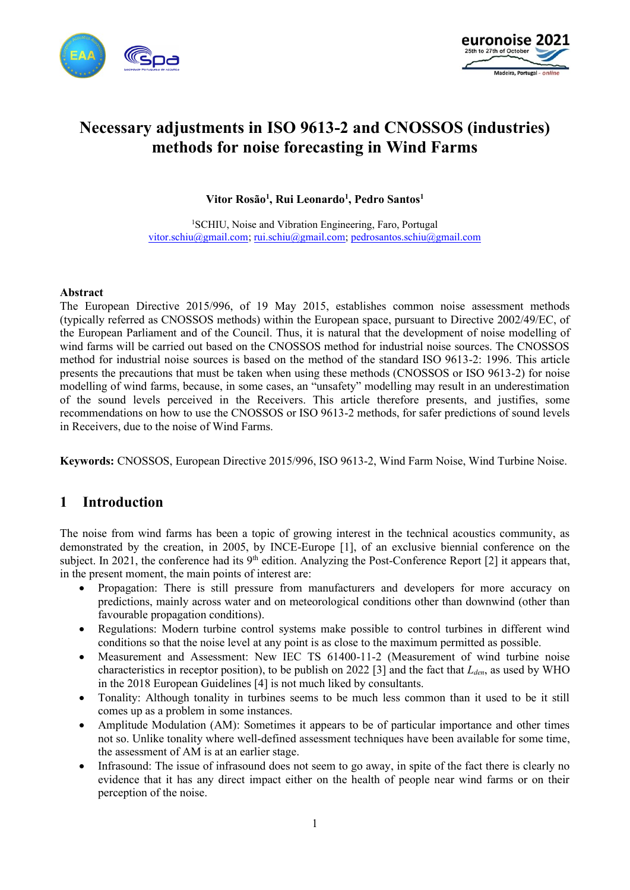



# **Necessary adjustments in ISO 9613-2 and CNOSSOS (industries) methods for noise forecasting in Wind Farms**

**Vitor Rosão<sup>1</sup> , Rui Leonardo<sup>1</sup> , Pedro Santos<sup>1</sup>**

<sup>1</sup>SCHIU, Noise and Vibration Engineering, Faro, Portugal [vitor.schiu@gmail.com;](mailto:vitor.schiu@gmail.com) [rui.schiu@gmail.com;](mailto:rui.schiu@gmail.com) [pedrosantos.schiu@gmail.com](mailto:pedrosantos.schiu@gmail.com)

#### **Abstract**

The European Directive 2015/996, of 19 May 2015, establishes common noise assessment methods (typically referred as CNOSSOS methods) within the European space, pursuant to Directive 2002/49/EC, of the European Parliament and of the Council. Thus, it is natural that the development of noise modelling of wind farms will be carried out based on the CNOSSOS method for industrial noise sources. The CNOSSOS method for industrial noise sources is based on the method of the standard ISO 9613-2: 1996. This article presents the precautions that must be taken when using these methods (CNOSSOS or ISO 9613-2) for noise modelling of wind farms, because, in some cases, an "unsafety" modelling may result in an underestimation of the sound levels perceived in the Receivers. This article therefore presents, and justifies, some recommendations on how to use the CNOSSOS or ISO 9613-2 methods, for safer predictions of sound levels in Receivers, due to the noise of Wind Farms.

**Keywords:** CNOSSOS, European Directive 2015/996, ISO 9613-2, Wind Farm Noise, Wind Turbine Noise.

### **1 Introduction**

The noise from wind farms has been a topic of growing interest in the technical acoustics community, as demonstrated by the creation, in 2005, by INCE-Europe [\[1\]](#page-8-0), of an exclusive biennial conference on the subject. In 2021, the conference had its  $9<sup>th</sup>$  edition. Analyzing the Post-Conference Report [\[2\]](#page-8-1) it appears that, in the present moment, the main points of interest are:

- Propagation: There is still pressure from manufacturers and developers for more accuracy on predictions, mainly across water and on meteorological conditions other than downwind (other than favourable propagation conditions).
- Regulations: Modern turbine control systems make possible to control turbines in different wind conditions so that the noise level at any point is as close to the maximum permitted as possible.
- Measurement and Assessment: New IEC TS 61400-11-2 (Measurement of wind turbine noise characteristics in receptor position), to be publish on 2022 [\[3\]](#page-8-2) and the fact that *Lden*, as used by WHO in the 2018 European Guidelines [\[4\]](#page-8-3) is not much liked by consultants.
- Tonality: Although tonality in turbines seems to be much less common than it used to be it still comes up as a problem in some instances.
- Amplitude Modulation (AM): Sometimes it appears to be of particular importance and other times not so. Unlike tonality where well-defined assessment techniques have been available for some time, the assessment of AM is at an earlier stage.
- Infrasound: The issue of infrasound does not seem to go away, in spite of the fact there is clearly no evidence that it has any direct impact either on the health of people near wind farms or on their perception of the noise.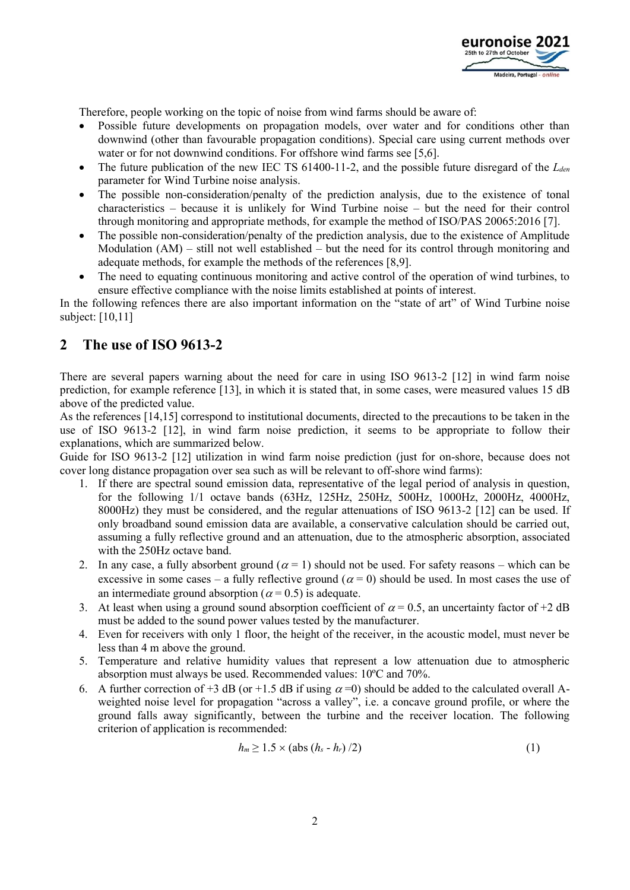

Therefore, people working on the topic of noise from wind farms should be aware of:

- Possible future developments on propagation models, over water and for conditions other than downwind (other than favourable propagation conditions). Special care using current methods over water or for not downwind conditions. For offshore wind farms see [\[5](#page-8-4)[,6\]](#page-9-0).
- The future publication of the new IEC TS 61400-11-2, and the possible future disregard of the *Lden* parameter for Wind Turbine noise analysis.
- The possible non-consideration/penalty of the prediction analysis, due to the existence of tonal characteristics – because it is unlikely for Wind Turbine noise – but the need for their control through monitoring and appropriate methods, for example the method of ISO/PAS 20065:2016 [\[7\]](#page-9-1).
- The possible non-consideration/penalty of the prediction analysis, due to the existence of Amplitude Modulation  $(AM)$  – still not well established – but the need for its control through monitoring and adequate methods, for example the methods of the references [\[8,](#page-9-2)[9\]](#page-9-3).
- The need to equating continuous monitoring and active control of the operation of wind turbines, to ensure effective compliance with the noise limits established at points of interest.

In the following refences there are also important information on the "state of art" of Wind Turbine noise subject: [\[10,](#page-9-4)[11\]](#page-9-5)

### **2 The use of ISO 9613-2**

There are several papers warning about the need for care in using ISO 9613-2 [\[12\]](#page-9-6) in wind farm noise prediction, for example reference [\[13\]](#page-9-7), in which it is stated that, in some cases, were measured values 15 dB above of the predicted value.

As the references [\[14](#page-9-8)[,15\]](#page-9-9) correspond to institutional documents, directed to the precautions to be taken in the use of ISO 9613-2 [\[12\]](#page-9-6), in wind farm noise prediction, it seems to be appropriate to follow their explanations, which are summarized below.

Guide for ISO 9613-2 [\[12\]](#page-9-6) utilization in wind farm noise prediction (just for on-shore, because does not cover long distance propagation over sea such as will be relevant to off-shore wind farms):

- 1. If there are spectral sound emission data, representative of the legal period of analysis in question, for the following 1/1 octave bands (63Hz, 125Hz, 250Hz, 500Hz, 1000Hz, 2000Hz, 4000Hz, 8000Hz) they must be considered, and the regular attenuations of ISO 9613-2 [\[12\]](#page-9-6) can be used. If only broadband sound emission data are available, a conservative calculation should be carried out, assuming a fully reflective ground and an attenuation, due to the atmospheric absorption, associated with the 250Hz octave band.
- 2. In any case, a fully absorbent ground ( $\alpha = 1$ ) should not be used. For safety reasons which can be excessive in some cases – a fully reflective ground ( $\alpha = 0$ ) should be used. In most cases the use of an intermediate ground absorption ( $\alpha$  = 0.5) is adequate.
- 3. At least when using a ground sound absorption coefficient of  $\alpha = 0.5$ , an uncertainty factor of +2 dB must be added to the sound power values tested by the manufacturer.
- 4. Even for receivers with only 1 floor, the height of the receiver, in the acoustic model, must never be less than 4 m above the ground.
- 5. Temperature and relative humidity values that represent a low attenuation due to atmospheric absorption must always be used. Recommended values: 10ºC and 70%.
- 6. A further correction of +3 dB (or +1.5 dB if using  $\alpha$  =0) should be added to the calculated overall Aweighted noise level for propagation "across a valley", i.e. a concave ground profile, or where the ground falls away significantly, between the turbine and the receiver location. The following criterion of application is recommended:

$$
h_m \geq 1.5 \times (\text{abs} \ (h_s - h_r)/2) \tag{1}
$$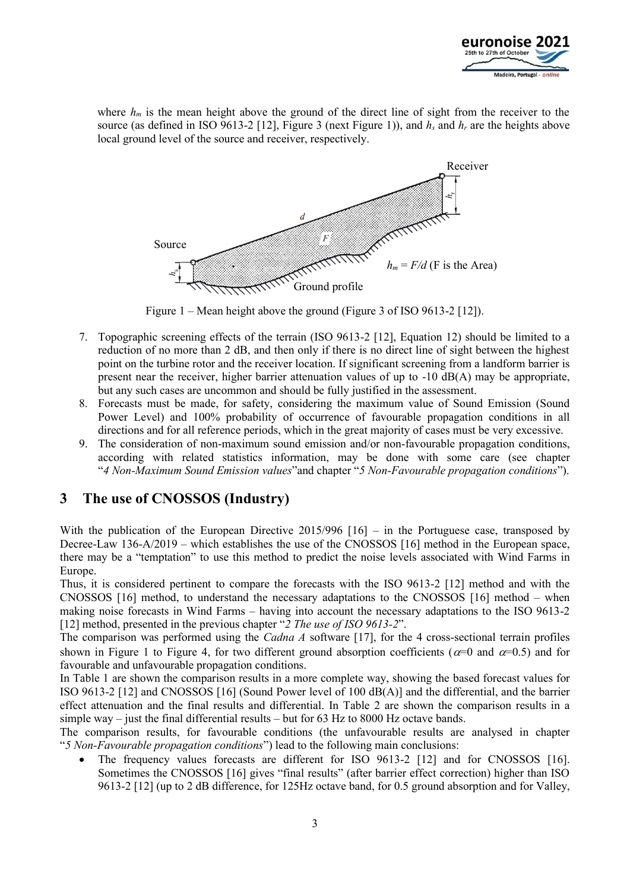

where  $h_m$  is the mean height above the ground of the direct line of sight from the receiver to the source (as defined in ISO 9613-2 [\[12\]](#page-9-6), Figure 3 (next Figure 1)), and  $h_s$  and  $h_r$  are the heights above local ground level of the source and receiver, respectively.



Figure 1 – Mean height above the ground (Figure 3 of ISO 9613-2 [\[12\]](#page-9-6)).

- 7. Topographic screening effects of the terrain (ISO 9613-2 [\[12\]](#page-9-6), Equation 12) should be limited to a reduction of no more than 2 dB, and then only if there is no direct line of sight between the highest point on the turbine rotor and the receiver location. If significant screening from a landform barrier is present near the receiver, higher barrier attenuation values of up to  $-10$  dB(A) may be appropriate, but any such cases are uncommon and should be fully justified in the assessment.
- 8. Forecasts must be made, for safety, considering the maximum value of Sound Emission (Sound Power Level) and 100% probability of occurrence of favourable propagation conditions in all directions and for all reference periods, which in the great majority of cases must be very excessive.
- 9. The consideration of non-maximum sound emission and/or non-favourable propagation conditions, according with related statistics information, may be done with some care (see chapter "*4 Non-Maximum Sound Emission values*"and chapter "*5 Non-Favourable propagation conditions*").

### **3 The use of CNOSSOS (Industry)**

With the publication of the European Directive 2015/996  $[16]$  – in the Portuguese case, transposed by Decree-Law 136-A/2019 – which establishes the use of the CNOSSOS [\[16\]](#page-9-10) method in the European space, there may be a "temptation" to use this method to predict the noise levels associated with Wind Farms in Europe.

Thus, it is considered pertinent to compare the forecasts with the ISO 9613-2 [\[12\]](#page-9-6) method and with the CNOSSOS [\[16\]](#page-9-10) method, to understand the necessary adaptations to the CNOSSOS [\[16\]](#page-9-10) method – when making noise forecasts in Wind Farms – having into account the necessary adaptations to the ISO 9613-2 [\[12\]](#page-9-6) method, presented in the previous chapter "*2 The use of ISO 9613-2*".

The comparison was performed using the *Cadna A* software [\[17\]](#page-9-11), for the 4 cross-sectional terrain profiles shown in Figure 1 to Figure 4, for two different ground absorption coefficients ( $\alpha$ =0 and  $\alpha$ =0.5) and for favourable and unfavourable propagation conditions.

In Table 1 are shown the comparison results in a more complete way, showing the based forecast values for ISO 9613-2 [\[12\]](#page-9-6) and CNOSSOS [\[16\]](#page-9-10) (Sound Power level of 100 dB(A)] and the differential, and the barrier effect attenuation and the final results and differential. In Table 2 are shown the comparison results in a simple way – just the final differential results – but for  $63$  Hz to 8000 Hz octave bands.

The comparison results, for favourable conditions (the unfavourable results are analysed in chapter "*5 Non-Favourable propagation conditions*") lead to the following main conclusions:

The frequency values forecasts are different for ISO 9613-2 [\[12\]](#page-9-6) and for CNOSSOS [\[16\]](#page-9-10). Sometimes the CNOSSOS [\[16\]](#page-9-10) gives "final results" (after barrier effect correction) higher than ISO 9613-2 [\[12\]](#page-9-6) (up to 2 dB difference, for 125Hz octave band, for 0.5 ground absorption and for Valley,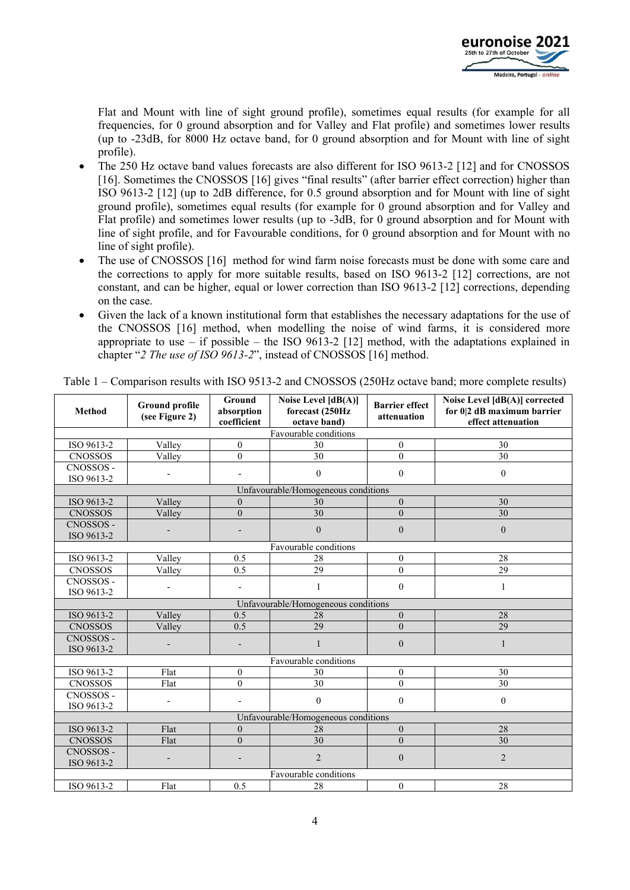

Flat and Mount with line of sight ground profile), sometimes equal results (for example for all frequencies, for 0 ground absorption and for Valley and Flat profile) and sometimes lower results (up to -23dB, for 8000 Hz octave band, for 0 ground absorption and for Mount with line of sight profile).

- The 250 Hz octave band values forecasts are also different for ISO 9613-2 [\[12\]](#page-9-6) and for CNOSSOS [\[16\]](#page-9-10). Sometimes the CNOSSOS [16] gives "final results" (after barrier effect correction) higher than ISO 9613-2 [\[12\]](#page-9-6) (up to 2dB difference, for 0.5 ground absorption and for Mount with line of sight ground profile), sometimes equal results (for example for 0 ground absorption and for Valley and Flat profile) and sometimes lower results (up to -3dB, for 0 ground absorption and for Mount with line of sight profile, and for Favourable conditions, for 0 ground absorption and for Mount with no line of sight profile).
- The use of CNOSSOS [\[16\]](#page-9-10) method for wind farm noise forecasts must be done with some care and the corrections to apply for more suitable results, based on ISO 9613-2 [\[12\]](#page-9-6) corrections, are not constant, and can be higher, equal or lower correction than ISO 9613-2 [\[12\]](#page-9-6) corrections, depending on the case.
- Given the lack of a known institutional form that establishes the necessary adaptations for the use of the CNOSSOS [\[16\]](#page-9-10) method, when modelling the noise of wind farms, it is considered more appropriate to use – if possible – the ISO 9613-2 [\[12\]](#page-9-6) method, with the adaptations explained in chapter "*2 The use of ISO 9613-2*", instead of CNOSSOS [\[16\]](#page-9-10) method.

| <b>Method</b>                       | <b>Ground profile</b><br>(see Figure 2) | <b>Ground</b><br>absorption<br>coefficient | Noise Level $[dB(A)]$<br>forecast (250Hz<br>octave band) | <b>Barrier</b> effect<br>attenuation | Noise Level [dB(A)] corrected<br>for 0 2 dB maximum barrier<br>effect attenuation |  |  |  |  |  |
|-------------------------------------|-----------------------------------------|--------------------------------------------|----------------------------------------------------------|--------------------------------------|-----------------------------------------------------------------------------------|--|--|--|--|--|
| Favourable conditions               |                                         |                                            |                                                          |                                      |                                                                                   |  |  |  |  |  |
| ISO 9613-2                          | Valley                                  | $\overline{0}$                             | 30                                                       | $\mathbf{0}$                         | 30                                                                                |  |  |  |  |  |
| <b>CNOSSOS</b>                      | Valley                                  | $\Omega$                                   | $\overline{30}$                                          | $\theta$                             | $\overline{30}$                                                                   |  |  |  |  |  |
| CNOSSOS -                           |                                         |                                            |                                                          |                                      |                                                                                   |  |  |  |  |  |
| ISO 9613-2                          | $\overline{a}$                          | $\overline{\phantom{a}}$                   | $\boldsymbol{0}$                                         | $\boldsymbol{0}$                     | $\mathbf{0}$                                                                      |  |  |  |  |  |
| Unfavourable/Homogeneous conditions |                                         |                                            |                                                          |                                      |                                                                                   |  |  |  |  |  |
| ISO 9613-2                          | Valley                                  | $\mathbf{0}$                               | 30                                                       | $\boldsymbol{0}$                     | 30                                                                                |  |  |  |  |  |
| <b>CNOSSOS</b>                      | Valley                                  | $\mathbf{0}$                               | 30                                                       | $\overline{0}$                       | 30                                                                                |  |  |  |  |  |
| CNOSSOS -                           |                                         |                                            | $\boldsymbol{0}$                                         | $\mathbf{0}$                         | $\mathbf{0}$                                                                      |  |  |  |  |  |
| ISO 9613-2                          |                                         | $\overline{\phantom{a}}$                   |                                                          |                                      |                                                                                   |  |  |  |  |  |
|                                     |                                         |                                            | Favourable conditions                                    |                                      |                                                                                   |  |  |  |  |  |
| ISO 9613-2                          | Valley                                  | 0.5                                        | 28                                                       | $\boldsymbol{0}$                     | 28                                                                                |  |  |  |  |  |
| <b>CNOSSOS</b>                      | Valley                                  | 0.5                                        | $\overline{29}$                                          | $\overline{0}$                       | $\overline{29}$                                                                   |  |  |  |  |  |
| CNOSSOS -                           | $\overline{\phantom{0}}$                | $\overline{\phantom{a}}$                   | 1                                                        | $\mathbf{0}$                         | 1                                                                                 |  |  |  |  |  |
| ISO 9613-2                          |                                         |                                            |                                                          |                                      |                                                                                   |  |  |  |  |  |
| Unfavourable/Homogeneous conditions |                                         |                                            |                                                          |                                      |                                                                                   |  |  |  |  |  |
| ISO 9613-2                          | Valley                                  | 0.5                                        | 28                                                       | $\mathbf{0}$                         | 28                                                                                |  |  |  |  |  |
| <b>CNOSSOS</b>                      | Valley                                  | 0.5                                        | $\overline{29}$                                          | $\overline{0}$                       | $\overline{29}$                                                                   |  |  |  |  |  |
| CNOSSOS -                           |                                         | $\overline{\phantom{0}}$                   | 1                                                        | $\mathbf{0}$                         | $\mathbf{1}$                                                                      |  |  |  |  |  |
| ISO 9613-2                          |                                         |                                            |                                                          |                                      |                                                                                   |  |  |  |  |  |
|                                     |                                         |                                            | Favourable conditions                                    |                                      |                                                                                   |  |  |  |  |  |
| ISO 9613-2                          | Flat                                    | $\boldsymbol{0}$                           | 30                                                       | $\boldsymbol{0}$                     | 30                                                                                |  |  |  |  |  |
| <b>CNOSSOS</b>                      | Flat                                    | $\theta$                                   | 30                                                       | $\theta$                             | 30                                                                                |  |  |  |  |  |
| CNOSSOS -                           | $\overline{\phantom{0}}$                | $\overline{\phantom{a}}$                   | $\boldsymbol{0}$                                         | $\mathbf{0}$                         | $\mathbf{0}$                                                                      |  |  |  |  |  |
| ISO 9613-2                          |                                         |                                            |                                                          |                                      |                                                                                   |  |  |  |  |  |
| Unfavourable/Homogeneous conditions |                                         |                                            |                                                          |                                      |                                                                                   |  |  |  |  |  |
| ISO 9613-2                          | Flat                                    | $\theta$                                   | 28                                                       | $\boldsymbol{0}$                     | 28                                                                                |  |  |  |  |  |
| <b>CNOSSOS</b>                      | Flat                                    | $\mathbf{0}$                               | 30                                                       | $\boldsymbol{0}$                     | 30                                                                                |  |  |  |  |  |
| CNOSSOS -                           | $\overline{a}$                          |                                            | $\overline{2}$                                           | $\mathbf{0}$                         | $\overline{2}$                                                                    |  |  |  |  |  |
| ISO 9613-2                          |                                         |                                            |                                                          |                                      |                                                                                   |  |  |  |  |  |
|                                     |                                         |                                            | Favourable conditions                                    |                                      |                                                                                   |  |  |  |  |  |
| ISO 9613-2                          | Flat                                    | 0.5                                        | 28                                                       | $\boldsymbol{0}$                     | 28                                                                                |  |  |  |  |  |

Table 1 – Comparison results with ISO 9513-2 and CNOSSOS (250Hz octave band; more complete results)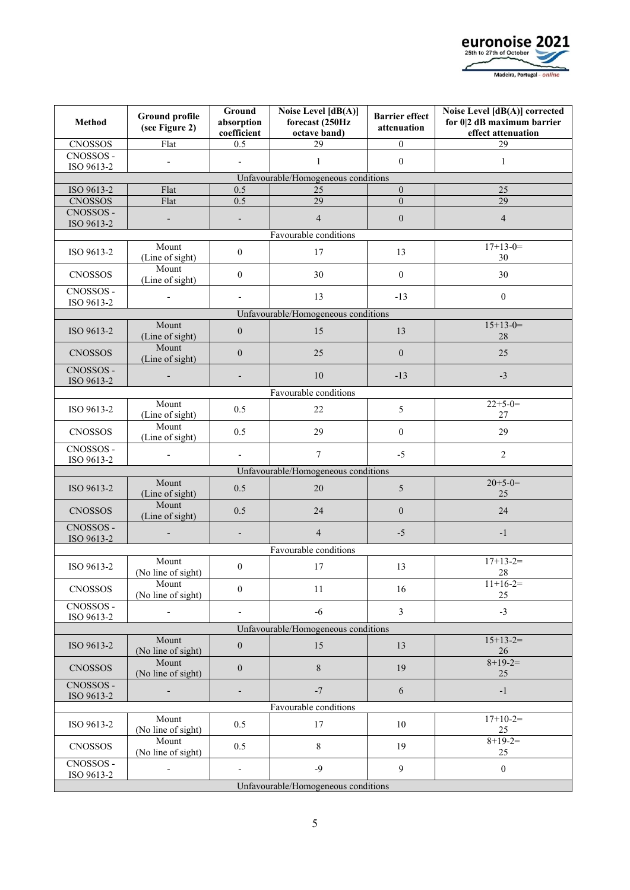

| <b>Method</b>                                     | <b>Ground profile</b><br>(see Figure 2) | Ground<br>absorption<br>coefficient | Noise Level [dB(A)]<br>forecast (250Hz<br>octave band) | <b>Barrier</b> effect<br>attenuation | Noise Level [dB(A)] corrected<br>for 0 2 dB maximum barrier<br>effect attenuation |  |  |  |  |  |
|---------------------------------------------------|-----------------------------------------|-------------------------------------|--------------------------------------------------------|--------------------------------------|-----------------------------------------------------------------------------------|--|--|--|--|--|
| <b>CNOSSOS</b>                                    | Flat                                    | 0.5                                 | 29                                                     | $\boldsymbol{0}$                     | 29                                                                                |  |  |  |  |  |
| CNOSSOS -                                         | L.                                      |                                     | $\mathbf{1}$                                           | $\boldsymbol{0}$                     | $\mathbf{1}$                                                                      |  |  |  |  |  |
| ISO 9613-2                                        |                                         |                                     |                                                        |                                      |                                                                                   |  |  |  |  |  |
|                                                   |                                         |                                     | Unfavourable/Homogeneous conditions                    |                                      |                                                                                   |  |  |  |  |  |
| ISO 9613-2<br><b>CNOSSOS</b>                      | Flat<br>Flat                            | 0.5<br>0.5                          | 25<br>29                                               | $\boldsymbol{0}$<br>$\boldsymbol{0}$ | 25<br>29                                                                          |  |  |  |  |  |
| CNOSSOS -                                         |                                         |                                     |                                                        |                                      |                                                                                   |  |  |  |  |  |
| ISO 9613-2                                        | $\overline{a}$                          | $\qquad \qquad \blacksquare$        | $\overline{4}$                                         | $\boldsymbol{0}$                     | $\overline{4}$                                                                    |  |  |  |  |  |
|                                                   | Mount                                   |                                     | Favourable conditions                                  |                                      | $17+13-0=$                                                                        |  |  |  |  |  |
| ISO 9613-2                                        | (Line of sight)                         | $\boldsymbol{0}$                    | 17                                                     | 13                                   | 30                                                                                |  |  |  |  |  |
| <b>CNOSSOS</b>                                    | Mount<br>(Line of sight)                | $\boldsymbol{0}$                    | 30                                                     | $\boldsymbol{0}$                     | 30                                                                                |  |  |  |  |  |
| CNOSSOS -<br>ISO 9613-2                           | $\overline{a}$                          | $\overline{\phantom{a}}$            | 13                                                     | $-13$                                | $\mathbf{0}$                                                                      |  |  |  |  |  |
|                                                   |                                         |                                     | Unfavourable/Homogeneous conditions                    |                                      |                                                                                   |  |  |  |  |  |
| ISO 9613-2                                        | Mount<br>(Line of sight)                | $\boldsymbol{0}$                    | 15                                                     | 13                                   | $15+13-0=$<br>28                                                                  |  |  |  |  |  |
| <b>CNOSSOS</b>                                    | Mount<br>(Line of sight)                | $\boldsymbol{0}$                    | 25                                                     | $\boldsymbol{0}$                     | 25                                                                                |  |  |  |  |  |
| CNOSSOS -<br>ISO 9613-2                           |                                         |                                     | 10                                                     | $-13$                                | $-3$                                                                              |  |  |  |  |  |
|                                                   |                                         |                                     | Favourable conditions                                  |                                      |                                                                                   |  |  |  |  |  |
| ISO 9613-2                                        | Mount<br>(Line of sight)                | 0.5                                 | 22                                                     | 5                                    | $22+5-0=$<br>27                                                                   |  |  |  |  |  |
| <b>CNOSSOS</b>                                    | Mount<br>(Line of sight)                | 0.5                                 | 29                                                     | $\boldsymbol{0}$                     | 29                                                                                |  |  |  |  |  |
| CNOSSOS -                                         |                                         | $\overline{\phantom{a}}$            | $\overline{7}$                                         | $-5$                                 | $\sqrt{2}$                                                                        |  |  |  |  |  |
| ISO 9613-2<br>Unfavourable/Homogeneous conditions |                                         |                                     |                                                        |                                      |                                                                                   |  |  |  |  |  |
|                                                   |                                         |                                     |                                                        |                                      |                                                                                   |  |  |  |  |  |
| ISO 9613-2                                        | Mount<br>(Line of sight)                | 0.5                                 | 20                                                     | 5                                    | $20+5-0=$<br>25                                                                   |  |  |  |  |  |
| <b>CNOSSOS</b>                                    | Mount<br>(Line of sight)                | 0.5                                 | 24                                                     | $\boldsymbol{0}$                     | 24                                                                                |  |  |  |  |  |
| CNOSSOS -<br>ISO 9613-2                           |                                         | $\overline{\phantom{a}}$            | $\overline{4}$                                         | $-5$                                 | $-1$                                                                              |  |  |  |  |  |
|                                                   |                                         |                                     | Favourable conditions                                  |                                      |                                                                                   |  |  |  |  |  |
| ISO 9613-2                                        | Mount<br>(No line of sight)             | $\boldsymbol{0}$                    | $17$                                                   | 13                                   | $17+13-2=$<br>28                                                                  |  |  |  |  |  |
| <b>CNOSSOS</b>                                    | Mount<br>(No line of sight)             | $\boldsymbol{0}$                    | 11                                                     | 16                                   | $11+16-2=$<br>25                                                                  |  |  |  |  |  |
| CNOSSOS -<br>ISO 9613-2                           |                                         |                                     | $-6$                                                   | 3                                    | $-3$                                                                              |  |  |  |  |  |
|                                                   |                                         |                                     | Unfavourable/Homogeneous conditions                    |                                      |                                                                                   |  |  |  |  |  |
| ISO 9613-2                                        | Mount<br>(No line of sight)             | $\boldsymbol{0}$                    | 15                                                     | 13                                   | $15+13-2=$<br>26                                                                  |  |  |  |  |  |
| <b>CNOSSOS</b>                                    | Mount<br>(No line of sight)             | $\boldsymbol{0}$                    | $\,$ $\,$                                              | 19                                   | $8+19-2=$<br>25                                                                   |  |  |  |  |  |
| CNOSSOS -<br>ISO 9613-2                           |                                         |                                     | $-7$                                                   | 6                                    | $-1$                                                                              |  |  |  |  |  |
|                                                   |                                         |                                     | Favourable conditions                                  |                                      |                                                                                   |  |  |  |  |  |
| ISO 9613-2                                        | Mount<br>(No line of sight)             | 0.5                                 | 17                                                     | 10                                   | $17+10-2=$<br>25                                                                  |  |  |  |  |  |
| <b>CNOSSOS</b>                                    | Mount<br>(No line of sight)             | 0.5                                 | 8                                                      | 19                                   | $8+19-2=$<br>25                                                                   |  |  |  |  |  |
| CNOSSOS-<br>ISO 9613-2                            | $\overline{\phantom{a}}$                | $\overline{\phantom{a}}$            | $-9$                                                   | 9                                    | $\boldsymbol{0}$                                                                  |  |  |  |  |  |
| Unfavourable/Homogeneous conditions               |                                         |                                     |                                                        |                                      |                                                                                   |  |  |  |  |  |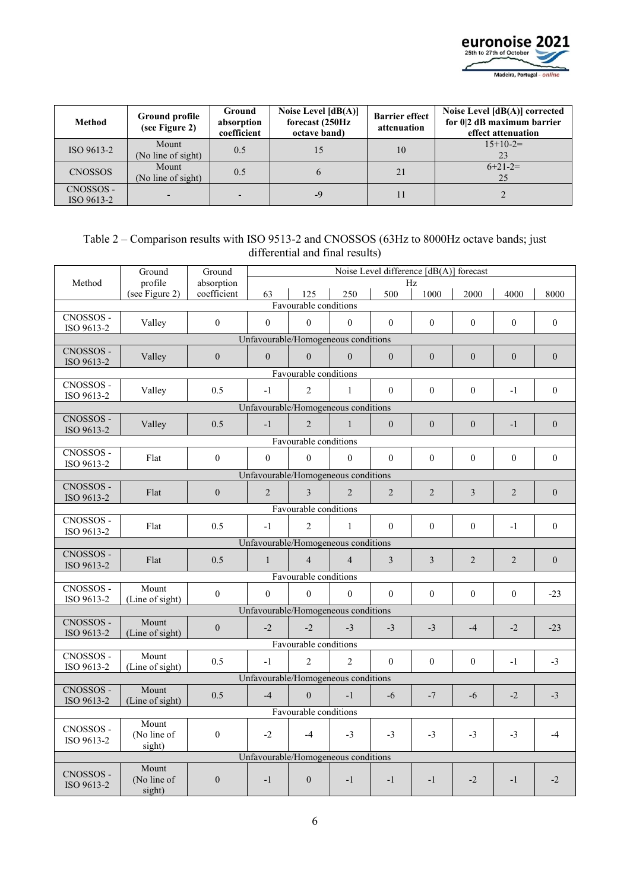

| Method                  | Ground profile<br>(see Figure 2) | Ground<br>absorption<br>coefficient | Noise Level $[dB(A)]$<br>forecast (250Hz)<br>octave band) | <b>Barrier effect</b><br>attenuation | Noise Level [dB(A)] corrected<br>for 0 2 dB maximum barrier<br>effect attenuation |  |  |
|-------------------------|----------------------------------|-------------------------------------|-----------------------------------------------------------|--------------------------------------|-----------------------------------------------------------------------------------|--|--|
| ISO 9613-2              | Mount<br>(No line of sight)      | 0.5                                 | 15                                                        | 10                                   | $15+10-2=$                                                                        |  |  |
| <b>CNOSSOS</b>          | Mount<br>(No line of sight)      | 0.5                                 | <sub>(b)</sub>                                            | 21                                   | $6+21-2=$<br>25                                                                   |  |  |
| CNOSSOS -<br>ISO 9613-2 |                                  |                                     | -9                                                        |                                      |                                                                                   |  |  |

#### Table 2 – Comparison results with ISO 9513-2 and CNOSSOS (63Hz to 8000Hz octave bands; just differential and final results)

|                         | Ground                              | Ground                    | Noise Level difference [dB(A)] forecast |                       |                |                |                  |                  |                  |                  |
|-------------------------|-------------------------------------|---------------------------|-----------------------------------------|-----------------------|----------------|----------------|------------------|------------------|------------------|------------------|
| Method                  | profile<br>(see Figure 2)           | absorption<br>coefficient | 63                                      | 125                   | 250            | 500            | Hz.<br>1000      | 2000             | 4000             | 8000             |
|                         |                                     |                           |                                         | Favourable conditions |                |                |                  |                  |                  |                  |
| CNOSSOS -               | Valley                              | $\mathbf{0}$              | $\mathbf{0}$                            | $\mathbf{0}$          | $\overline{0}$ | $\mathbf{0}$   | $\mathbf{0}$     | $\mathbf{0}$     | $\overline{0}$   | $\mathbf{0}$     |
| ISO 9613-2              |                                     |                           | Unfavourable/Homogeneous conditions     |                       |                |                |                  |                  |                  |                  |
| CNOSSOS -               |                                     |                           |                                         |                       |                |                |                  |                  |                  |                  |
| ISO 9613-2              | Valley                              | $\theta$                  | $\theta$                                | $\Omega$              | $\theta$       | $\theta$       | $\boldsymbol{0}$ | $\boldsymbol{0}$ | $\boldsymbol{0}$ | $\boldsymbol{0}$ |
|                         |                                     |                           |                                         | Favourable conditions |                |                |                  |                  |                  |                  |
| CNOSSOS -<br>ISO 9613-2 | Valley                              | 0.5                       | $-1$                                    | $\overline{2}$        | $\mathbf{1}$   | $\theta$       | $\mathbf{0}$     | $\mathbf{0}$     | $-1$             | $\overline{0}$   |
|                         |                                     |                           | Unfavourable/Homogeneous conditions     |                       |                |                |                  |                  |                  |                  |
| CNOSSOS -               | Valley                              | 0.5                       | $-1$                                    | $\overline{2}$        | $\mathbf{1}$   | $\theta$       | $\overline{0}$   | $\mathbf{0}$     | $-1$             | $\mathbf{0}$     |
| ISO 9613-2              |                                     |                           |                                         |                       |                |                |                  |                  |                  |                  |
| CNOSSOS -               |                                     |                           |                                         | Favourable conditions |                |                |                  |                  |                  |                  |
| ISO 9613-2              | Flat                                | $\overline{0}$            | $\Omega$                                | $\mathbf{0}$          | $\Omega$       | $\theta$       | $\mathbf{0}$     | $\mathbf{0}$     | $\overline{0}$   | $\overline{0}$   |
|                         |                                     |                           | Unfavourable/Homogeneous conditions     |                       |                |                |                  |                  |                  |                  |
| CNOSSOS -               | Flat                                | $\overline{0}$            | $\overline{2}$                          | 3                     | $\overline{2}$ | $\overline{2}$ | $\overline{2}$   | 3                | 2                | $\overline{0}$   |
|                         | ISO 9613-2<br>Favourable conditions |                           |                                         |                       |                |                |                  |                  |                  |                  |
| CNOSSOS -               |                                     |                           |                                         |                       |                |                |                  |                  |                  |                  |
| ISO 9613-2              | Flat                                | 0.5                       | $-1$                                    | $\mathfrak{D}$        | $\mathbf{1}$   | $\Omega$       | $\theta$         | $\Omega$         | $-1$             | $\boldsymbol{0}$ |
|                         |                                     |                           | Unfavourable/Homogeneous conditions     |                       |                |                |                  |                  |                  |                  |
| CNOSSOS -               | Flat                                | 0.5                       | $\mathbf{1}$                            | $\overline{4}$        | $\overline{4}$ | $\overline{3}$ | $\overline{3}$   | $\overline{2}$   | $\overline{2}$   | $\overline{0}$   |
| ISO 9613-2              |                                     |                           |                                         | Favourable conditions |                |                |                  |                  |                  |                  |
| CNOSSOS -               | Mount                               |                           |                                         |                       |                |                |                  |                  |                  |                  |
| ISO 9613-2              | (Line of sight)                     | $\Omega$                  | $\theta$                                | $\theta$              | $\theta$       | $\theta$       | $\mathbf{0}$     | $\mathbf{0}$     | $\overline{0}$   | $-23$            |
|                         |                                     |                           | Unfavourable/Homogeneous conditions     |                       |                |                |                  |                  |                  |                  |
| CNOSSOS -<br>ISO 9613-2 | Mount<br>(Line of sight)            | $\overline{0}$            | $-2$                                    | $-2$                  | $-3$           | $-3$           | $-3$             | $-4$             | $-2$             | $-23$            |
|                         |                                     |                           |                                         | Favourable conditions |                |                |                  |                  |                  |                  |
| CNOSSOS -               | Mount                               |                           |                                         |                       |                |                |                  |                  |                  |                  |
| ISO 9613-2              | (Line of sight)                     | 0.5                       | $-1$                                    | $\overline{2}$        | $\overline{2}$ | $\mathbf{0}$   | $\mathbf{0}$     | $\mathbf{0}$     | $-1$             | $-3$             |
|                         |                                     |                           | Unfavourable/Homogeneous conditions     |                       |                |                |                  |                  |                  |                  |
| CNOSSOS -               | Mount                               | 0.5                       | $-4$                                    | $\theta$              | $-1$           | $-6$           | $-7$             | $-6$             | $-2$             | $-3$             |
| ISO 9613-2              | (Line of sight)                     |                           |                                         | Favourable conditions |                |                |                  |                  |                  |                  |
|                         | Mount                               |                           |                                         |                       |                |                |                  |                  |                  |                  |
| CNOSSOS -<br>ISO 9613-2 | (No line of                         | $\mathbf{0}$              | $-2$                                    | $-4$                  | $-3$           | $-3$           | $-3$             | $-3$             | $-3$             | $-4$             |
|                         | sight)                              |                           |                                         |                       |                |                |                  |                  |                  |                  |
|                         |                                     |                           | Unfavourable/Homogeneous conditions     |                       |                |                |                  |                  |                  |                  |
| CNOSSOS -               | Mount<br>(No line of                | $\theta$                  | $-1$                                    | $\theta$              | $-1$           | $-1$           | $-1$             | $-2$             | $-1$             | $-2$             |
| ISO 9613-2              | sight)                              |                           |                                         |                       |                |                |                  |                  |                  |                  |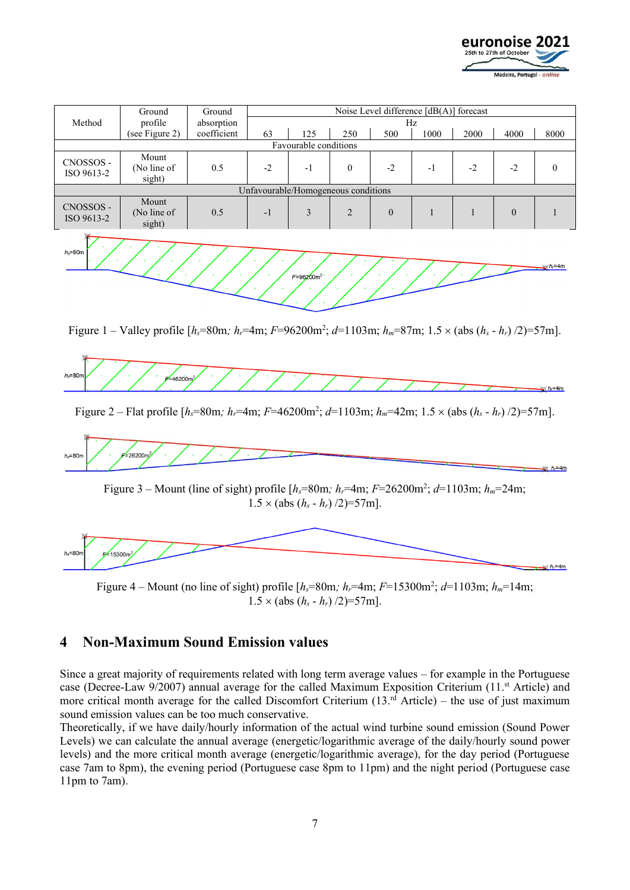

| Method                  | Ground<br>profile                   | Ground      | Noise Level difference $[dB(A)]$ forecast<br>absorption<br>Hz |                       |                |                |      |      |                |      |
|-------------------------|-------------------------------------|-------------|---------------------------------------------------------------|-----------------------|----------------|----------------|------|------|----------------|------|
|                         | (see Figure 2)                      | coefficient | 63                                                            | 125                   | 250            | 500            | 1000 | 2000 | 4000           | 8000 |
|                         |                                     |             |                                                               | Favourable conditions |                |                |      |      |                |      |
| CNOSSOS -<br>ISO 9613-2 | Mount<br>(No line of<br>sight)      | 0.5         | $-2$                                                          | $-1$                  | $\theta$       | $-2$           | -1   | $-2$ | $-2$           |      |
|                         | Unfavourable/Homogeneous conditions |             |                                                               |                       |                |                |      |      |                |      |
| CNOSSOS -<br>ISO 9613-2 | Mount<br>(No line of<br>sight)      | 0.5         | $-1$                                                          | 3                     | $\overline{2}$ | $\overline{0}$ |      |      | $\overline{0}$ |      |
|                         |                                     |             |                                                               |                       |                |                |      |      |                |      |



Figure 1 – Valley profile  $[h_s = 80m; h_r = 4m; F = 96200m^2; d = 1103m; h_m = 87m; 1.5 \times (abs (h_s - h_r)/2) = 57m$ .



Figure 2 – Flat profile [*hs*=80m*; hr*=4m; *F*=46200m<sup>2</sup> ; *d*=1103m; *hm*=42m; 1.5 (abs (*h<sup>s</sup>* - *hr*) /2)=57m].





Figure 4 – Mount (no line of sight) profile  $[h_s = 80m; h_r = 4m; F = 15300m^2; d = 1103m; h_m = 14m;$  $1.5 \times (abs (h_s - h_r)/2) = 57$ m].

## **4 Non-Maximum Sound Emission values**

Since a great majority of requirements related with long term average values – for example in the Portuguese case (Decree-Law 9/2007) annual average for the called Maximum Exposition Criterium (11.<sup>st</sup> Article) and more critical month average for the called Discomfort Criterium (13.<sup>rd</sup> Article) – the use of just maximum sound emission values can be too much conservative.

Theoretically, if we have daily/hourly information of the actual wind turbine sound emission (Sound Power Levels) we can calculate the annual average (energetic/logarithmic average of the daily/hourly sound power levels) and the more critical month average (energetic/logarithmic average), for the day period (Portuguese case 7am to 8pm), the evening period (Portuguese case 8pm to 11pm) and the night period (Portuguese case 11pm to 7am).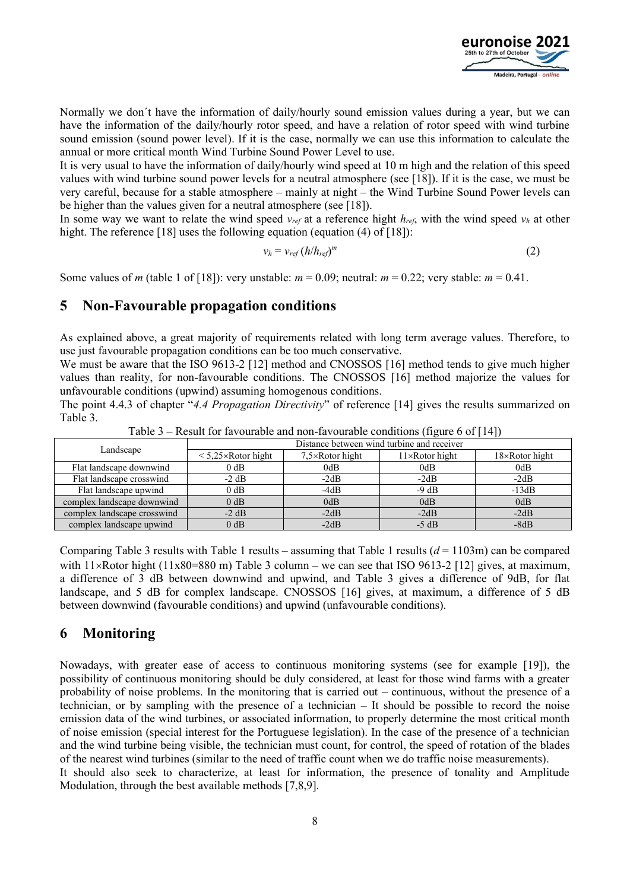

Normally we don´t have the information of daily/hourly sound emission values during a year, but we can have the information of the daily/hourly rotor speed, and have a relation of rotor speed with wind turbine sound emission (sound power level). If it is the case, normally we can use this information to calculate the annual or more critical month Wind Turbine Sound Power Level to use.

It is very usual to have the information of daily/hourly wind speed at 10 m high and the relation of this speed values with wind turbine sound power levels for a neutral atmosphere (see [\[18\]](#page-9-12)). If it is the case, we must be very careful, because for a stable atmosphere – mainly at night – the Wind Turbine Sound Power levels can be higher than the values given for a neutral atmosphere (see [\[18\]](#page-9-12)).

In some way we want to relate the wind speed  $v_{ref}$  at a reference hight  $h_{ref}$ , with the wind speed  $v_h$  at other hight. The reference [\[18\]](#page-9-12) uses the following equation (equation (4) of [18]):

$$
v_h = v_{ref} (h/h_{ref})^m
$$
 (2)

Some values of *m* (table 1 of [\[18\]](#page-9-12)): very unstable:  $m = 0.09$ ; neutral:  $m = 0.22$ ; very stable:  $m = 0.41$ .

### **5 Non-Favourable propagation conditions**

As explained above, a great majority of requirements related with long term average values. Therefore, to use just favourable propagation conditions can be too much conservative.

We must be aware that the ISO 9613-2 [\[12\]](#page-9-6) method and CNOSSOS [\[16\]](#page-9-10) method tends to give much higher values than reality, for non-favourable conditions. The CNOSSOS [\[16\]](#page-9-10) method majorize the values for unfavourable conditions (upwind) assuming homogenous conditions.

The point 4.4.3 of chapter "*4.4 Propagation Directivity*" of reference [\[14\]](#page-9-8) gives the results summarized on Table 3.

|                             | Distance between wind turbine and receiver |                         |                        |                        |  |  |  |  |
|-----------------------------|--------------------------------------------|-------------------------|------------------------|------------------------|--|--|--|--|
| Landscape                   | $\leq 5.25 \times$ Rotor hight             | $7,5\times$ Rotor hight | $11\times$ Rotor hight | $18\times$ Rotor hight |  |  |  |  |
| Flat landscape downwind     | $0$ dB                                     | 0dB                     | 0dB                    | 0dB                    |  |  |  |  |
| Flat landscape crosswind    | $-2$ dB                                    | $-2dB$                  | $-2dB$                 | $-2dB$                 |  |  |  |  |
| Flat landscape upwind       | $0$ dB                                     | $-4dB$                  | $-9 dB$                | $-13dB$                |  |  |  |  |
| complex landscape downwind  | $0$ dB                                     | 0dB                     | 0dB                    | 0dB                    |  |  |  |  |
| complex landscape crosswind | $-2$ dB                                    | $-2dB$                  | $-2dB$                 | $-2dB$                 |  |  |  |  |
| complex landscape upwind    | $0$ dB                                     | $-2dB$                  | $-5$ dB                | $-8dB$                 |  |  |  |  |

Table  $3$  – Result for favourable and non-favourable conditions (figure 6 of [\[14\]](#page-9-8))

Comparing Table 3 results with Table 1 results – assuming that Table 1 results (*d* = 1103m) can be compared with  $11\times$ Rotor hight ( $11x80=880$  m) Table 3 column – we can see that ISO 9613-2 [\[12\]](#page-9-6) gives, at maximum, a difference of 3 dB between downwind and upwind, and Table 3 gives a difference of 9dB, for flat landscape, and 5 dB for complex landscape. CNOSSOS [\[16\]](#page-9-10) gives, at maximum, a difference of 5 dB between downwind (favourable conditions) and upwind (unfavourable conditions).

### **6 Monitoring**

Nowadays, with greater ease of access to continuous monitoring systems (see for example [\[19\]\)](#page-9-13), the possibility of continuous monitoring should be duly considered, at least for those wind farms with a greater probability of noise problems. In the monitoring that is carried out – continuous, without the presence of a technician, or by sampling with the presence of a technician – It should be possible to record the noise emission data of the wind turbines, or associated information, to properly determine the most critical month of noise emission (special interest for the Portuguese legislation). In the case of the presence of a technician and the wind turbine being visible, the technician must count, for control, the speed of rotation of the blades of the nearest wind turbines (similar to the need of traffic count when we do traffic noise measurements). It should also seek to characterize, at least for information, the presence of tonality and Amplitude Modulation, through the best available methods [\[7](#page-9-1)[,8,](#page-9-2)[9\]](#page-9-3).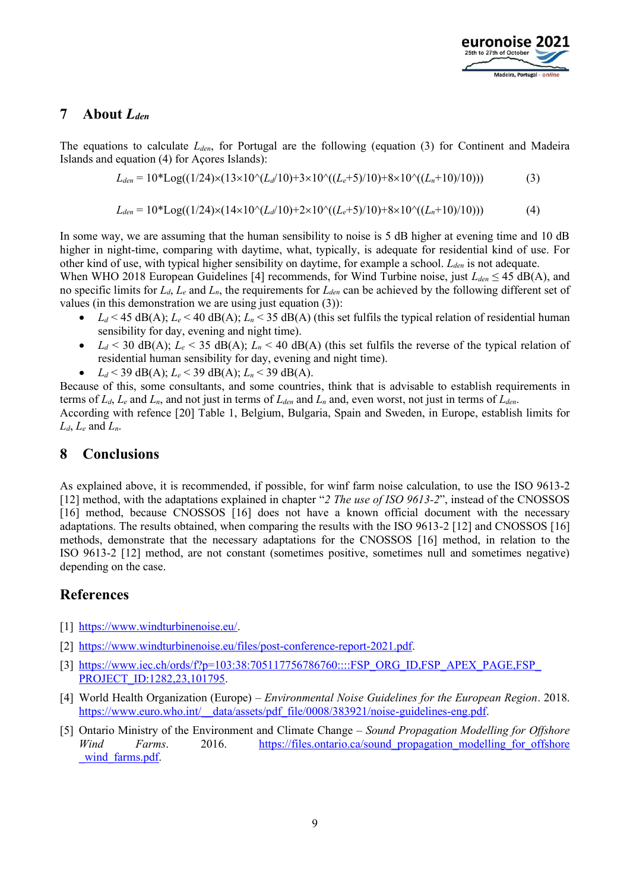

### **7 About** *Lden*

The equations to calculate *Lden*, for Portugal are the following (equation (3) for Continent and Madeira Islands and equation (4) for Açores Islands):

$$
L_{den} = 10^* \text{Log}((1/24) \times (13 \times 10^4 (L_d/10) + 3 \times 10^4 ((L_e+5)/10) + 8 \times 10^4 ((L_n+10)/10)))
$$
\n(3)

$$
L_{den} = 10^* \text{Log}((1/24) \times (14 \times 10^4 \text{L}_d/10) + 2 \times 10^4 ((L_e + 5)/10) + 8 \times 10^4 ((L_n + 10)/10)))
$$
(4)

In some way, we are assuming that the human sensibility to noise is 5 dB higher at evening time and 10 dB higher in night-time, comparing with daytime, what, typically, is adequate for residential kind of use. For other kind of use, with typical higher sensibility on daytime, for example a school. *Lden* is not adequate.

When WHO 2018 European Guidelines [\[4\]](#page-8-3) recommends, for Wind Turbine noise, just *Lden* ≤ 45 dB(A), and no specific limits for *Ld*, *L<sup>e</sup>* and *Ln*, the requirements for *Lden* can be achieved by the following different set of values (in this demonstration we are using just equation (3)):

- $L_d$  < 45 dB(A);  $L_e$  < 40 dB(A);  $L_n$  < 35 dB(A) (this set fulfils the typical relation of residential human sensibility for day, evening and night time).
- $L_d < 30$  dB(A);  $L_e < 35$  dB(A);  $L_n < 40$  dB(A) (this set fulfils the reverse of the typical relation of residential human sensibility for day, evening and night time).
- $L_d$  < 39 dB(A);  $L_e$  < 39 dB(A);  $L_n$  < 39 dB(A).

Because of this, some consultants, and some countries, think that is advisable to establish requirements in terms of  $L_d$ ,  $L_e$  and  $L_n$ , and not just in terms of  $L_{den}$  and  $L_n$  and, even worst, not just in terms of  $L_{den}$ . According with refence [\[20\]](#page-9-14) Table 1, Belgium, Bulgaria, Spain and Sweden, in Europe, establish limits for  $L_d$ ,  $L_e$  and  $L_n$ .

### **8 Conclusions**

As explained above, it is recommended, if possible, for winf farm noise calculation, to use the ISO 9613-2 [\[12\]](#page-9-6) method, with the adaptations explained in chapter "*2 The use of ISO 9613-2*", instead of the CNOSSOS [\[16\]](#page-9-10) method, because CNOSSOS [\[16\]](#page-9-10) does not have a known official document with the necessary adaptations. The results obtained, when comparing the results with the ISO 9613-2 [\[12\]](#page-9-6) and CNOSSOS [\[16\]](#page-9-10) methods, demonstrate that the necessary adaptations for the CNOSSOS [\[16\]](#page-9-10) method, in relation to the ISO 9613-2 [\[12\]](#page-9-6) method, are not constant (sometimes positive, sometimes null and sometimes negative) depending on the case.

### **References**

- <span id="page-8-0"></span>[1] [https://www.windturbinenoise.eu/.](https://www.windturbinenoise.eu/)
- <span id="page-8-1"></span>[2] [https://www.windturbinenoise.eu/files/post-conference-report-2021.pdf.](https://www.windturbinenoise.eu/files/post-conference-report-2021.pdf)
- <span id="page-8-2"></span>[3] https://www.iec.ch/ords/f?p=103:38:705117756786760::::FSP\_ORG\_ID,FSP\_APEX\_PAGE,FSP [PROJECT\\_ID:1282,23,101795.](https://www.iec.ch/ords/f?p=103:38:705117756786760::::FSP_ORG_ID,FSP_APEX_PAGE,FSP_PROJECT_ID:1282,23,101795)
- <span id="page-8-3"></span>[4] World Health Organization (Europe) – *Environmental Noise Guidelines for the European Region*. 2018. [https://www.euro.who.int/\\_\\_data/assets/pdf\\_file/0008/383921/noise-guidelines-eng.pdf.](https://www.euro.who.int/__data/assets/pdf_file/0008/383921/noise-guidelines-eng.pdf)
- <span id="page-8-4"></span>[5] Ontario Ministry of the Environment and Climate Change – *Sound Propagation Modelling for Offshore Wind Farms*. 2016. https://files.ontario.ca/sound propagation modelling for offshore wind farms.pdf.